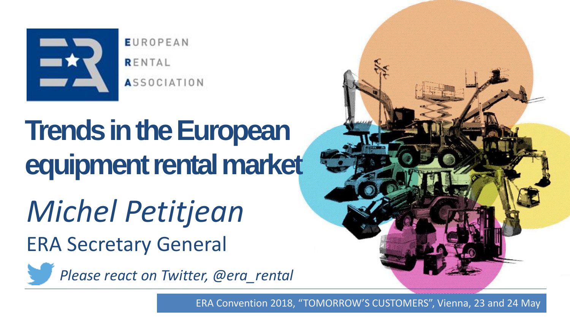

**EUROPEAN** RENTAL **ASSOCIATION** 

# **Trends in the European equipment rental market**

*Michel Petitjean* ERA Secretary General

<span id="page-0-0"></span>*Please react on Twitter, @era\_rental*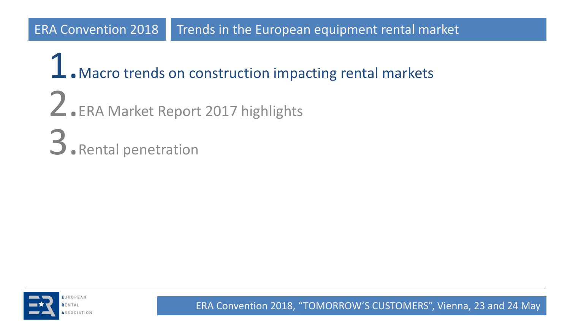$\perp$ . Macro trends on construction impacting rental markets 2.ERA Market Report 2017 highlights 3.Rental penetration

<span id="page-1-0"></span>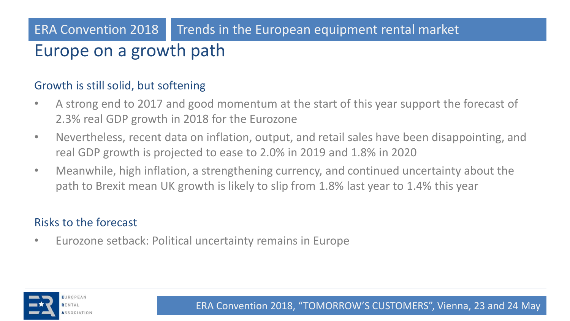# Europe on a growth path

#### Growth is still solid, but softening

- A strong end to 2017 and good momentum at the start of this year support the forecast of 2.3% real GDP growth in 2018 for the Eurozone
- Nevertheless, recent data on inflation, output, and retail sales have been disappointing, and real GDP growth is projected to ease to 2.0% in 2019 and 1.8% in 2020
- Meanwhile, high inflation, a strengthening currency, and continued uncertainty about the path to Brexit mean UK growth is likely to slip from 1.8% last year to 1.4% this year

#### Risks to the forecast

• Eurozone setback: Political uncertainty remains in Europe

<span id="page-2-0"></span>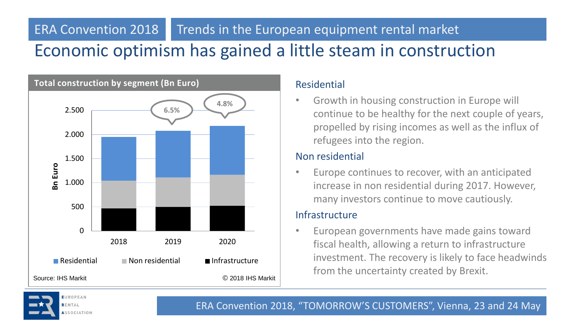### Economic optimism has gained a little steam in construction ERA Convention 2018 Trends in the European equipment rental market



<span id="page-3-0"></span>RENTAL **SSOCIATION** 

#### Residential

• Growth in housing construction in Europe will continue to be healthy for the next couple of years, propelled by rising incomes as well as the influx of refugees into the region.

#### Non residential

Europe continues to recover, with an anticipated increase in non residential during 2017. However, many investors continue to move cautiously.

#### **Infrastructure**

• European governments have made gains toward fiscal health, allowing a return to infrastructure investment. The recovery is likely to face headwinds from the uncertainty created by Brexit.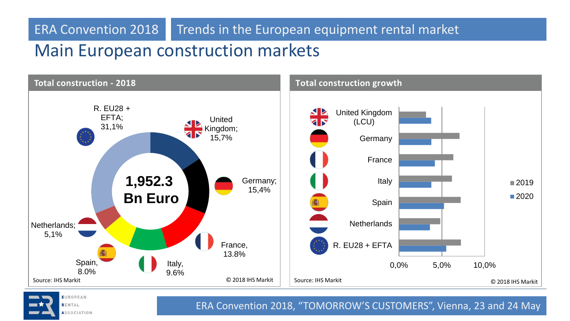# Main European construction markets



<span id="page-4-0"></span>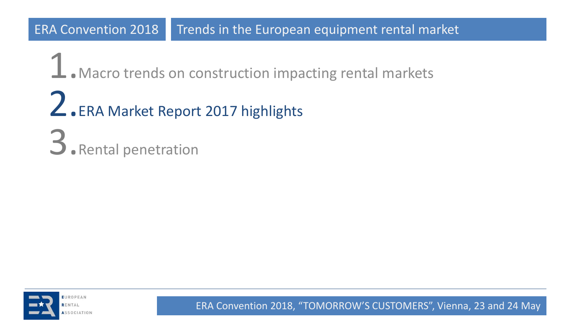$\perp$ . Macro trends on construction impacting rental markets Z.ERA Market Report 2017 highlights 3. Rental penetration

<span id="page-5-0"></span>

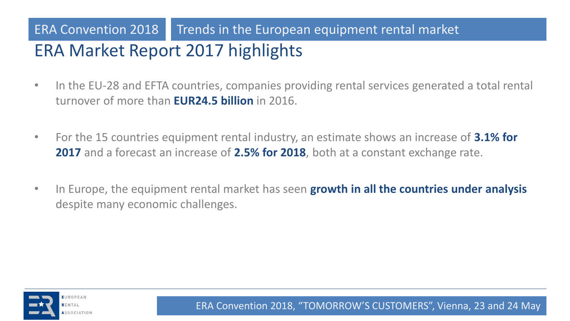# ERA Market Report 2017 highlights ERA Convention 2018 Trends in the European equipment rental market

- In the EU-28 and EFTA countries, companies providing rental services generated a total rental turnover of more than **EUR24.5 billion** in 2016.
- For the 15 countries equipment rental industry, an estimate shows an increase of **3.1% for 2017** and a forecast an increase of **2.5% for 2018**, both at a constant exchange rate.
- In Europe, the equipment rental market has seen **growth in all the countries under analysis**  despite many economic challenges.

<span id="page-6-0"></span>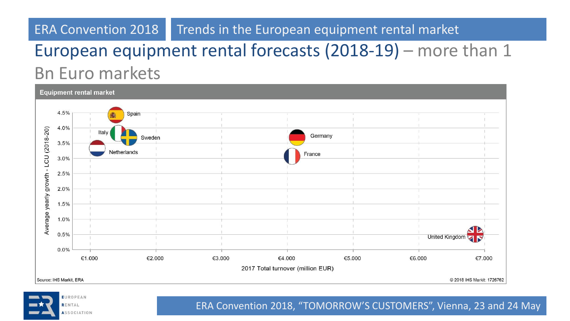# European equipment rental forecasts (2018-19) – more than 1 Bn Euro markets



<span id="page-7-0"></span>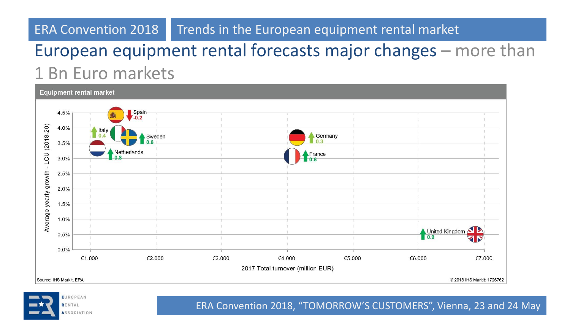# European equipment rental forecasts major changes – more than 1 Bn Euro markets



<span id="page-8-0"></span>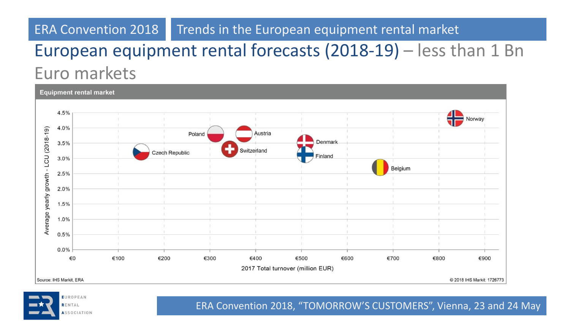# European equipment rental forecasts (2018-19) – less than 1 Bn Euro markets



<span id="page-9-0"></span>**EUROPEAN** RENTAL **ASSOCIATION**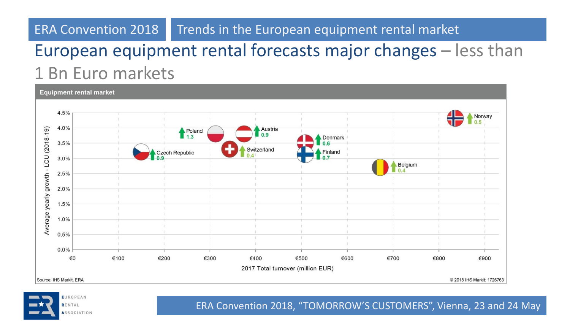# European equipment rental forecasts major changes – less than 1 Bn Euro markets

**Equipment rental market** 4.5% Norway 4.0%  $(2018 - 19)$ Austria Poland  $0.9$  $1.3$ Denmark  $3.5%$ Switzerland Czech Republic inland **CU**  $3.0%$ Belgium Average yearly growth - $0.4$  $2.5%$  $2.0%$ 1.5% 1.0%  $0.5%$  $0.0%$ €100 €0 €200 €300 €400 €500 €600 €700 €800 €900 2017 Total turnover (million EUR) Source: IHS Markit, ERA @ 2018 IHS Markit: 1726763

<span id="page-10-0"></span>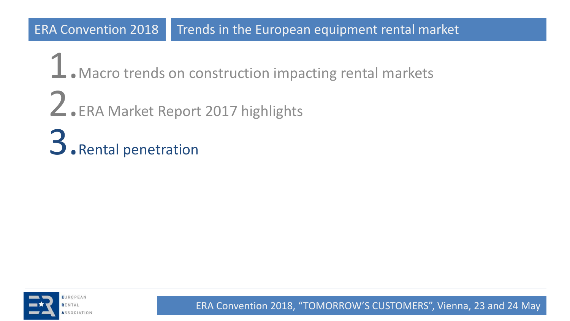$\perp$ . Macro trends on construction impacting rental markets 2.ERA Market Report 2017 highlights 3.Rental penetration

<span id="page-11-0"></span>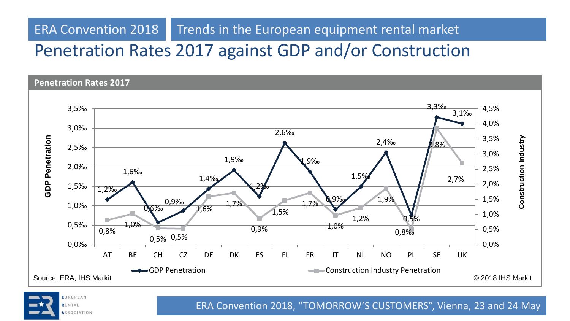# Penetration Rates 2017 against GDP and/or Construction

**Penetration Rates 2017** 



<span id="page-12-0"></span>EUROPEAN RENTAL **ASSOCIATION**